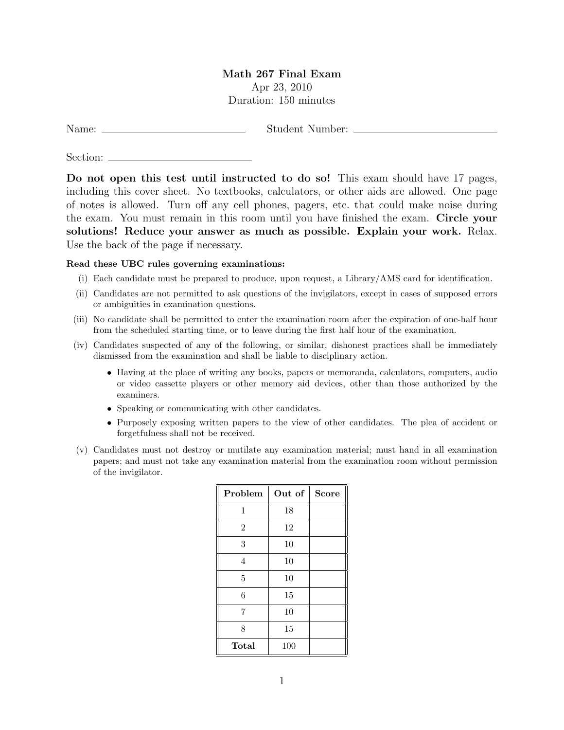### Math 267 Final Exam

Apr 23, 2010

Duration: 150 minutes

| Name: |  | Student Number: |
|-------|--|-----------------|
|       |  |                 |

Section:

Do not open this test until instructed to do so! This exam should have 17 pages, including this cover sheet. No textbooks, calculators, or other aids are allowed. One page of notes is allowed. Turn off any cell phones, pagers, etc. that could make noise during the exam. You must remain in this room until you have finished the exam. Circle your solutions! Reduce your answer as much as possible. Explain your work. Relax. Use the back of the page if necessary.

#### Read these UBC rules governing examinations:

- (i) Each candidate must be prepared to produce, upon request, a Library/AMS card for identification.
- (ii) Candidates are not permitted to ask questions of the invigilators, except in cases of supposed errors or ambiguities in examination questions.
- (iii) No candidate shall be permitted to enter the examination room after the expiration of one-half hour from the scheduled starting time, or to leave during the first half hour of the examination.
- (iv) Candidates suspected of any of the following, or similar, dishonest practices shall be immediately dismissed from the examination and shall be liable to disciplinary action.
	- Having at the place of writing any books, papers or memoranda, calculators, computers, audio or video cassette players or other memory aid devices, other than those authorized by the examiners.
	- Speaking or communicating with other candidates.
	- Purposely exposing written papers to the view of other candidates. The plea of accident or forgetfulness shall not be received.
- (v) Candidates must not destroy or mutilate any examination material; must hand in all examination papers; and must not take any examination material from the examination room without permission of the invigilator.

| Problem        | Out of | <b>Score</b> |
|----------------|--------|--------------|
| 1              | 18     |              |
| $\overline{2}$ | 12     |              |
| 3              | 10     |              |
| 4              | 10     |              |
| 5              | 10     |              |
| 6              | 15     |              |
| 7              | 10     |              |
| 8              | 15     |              |
| Total          | 100    |              |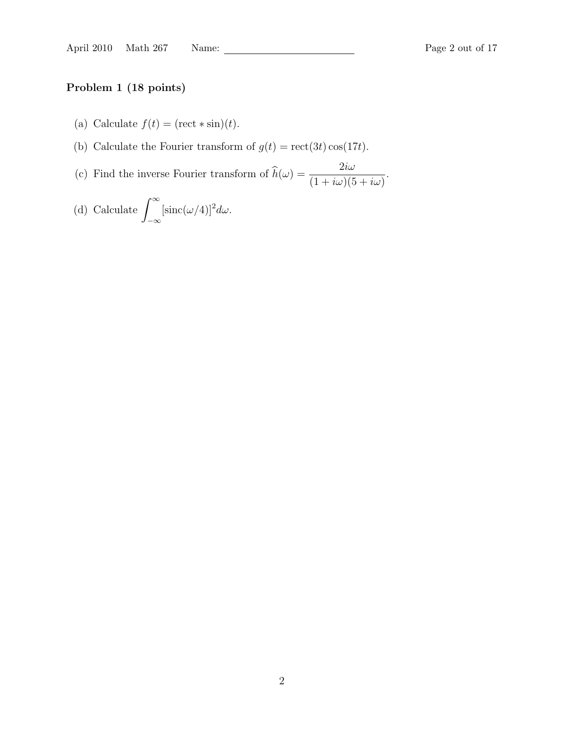# Problem 1 (18 points)

- (a) Calculate  $f(t) = (rect * sin)(t)$ .
- (b) Calculate the Fourier transform of  $g(t) = \text{rect}(3t) \cos(17t)$ .
- (c) Find the inverse Fourier transform of  $\hat{h}(\omega) = \frac{2i\omega}{(1+i\omega)(5+i\omega)}$ .

(d) Calculate 
$$
\int_{-\infty}^{\infty} [\text{sinc}(\omega/4)]^2 d\omega.
$$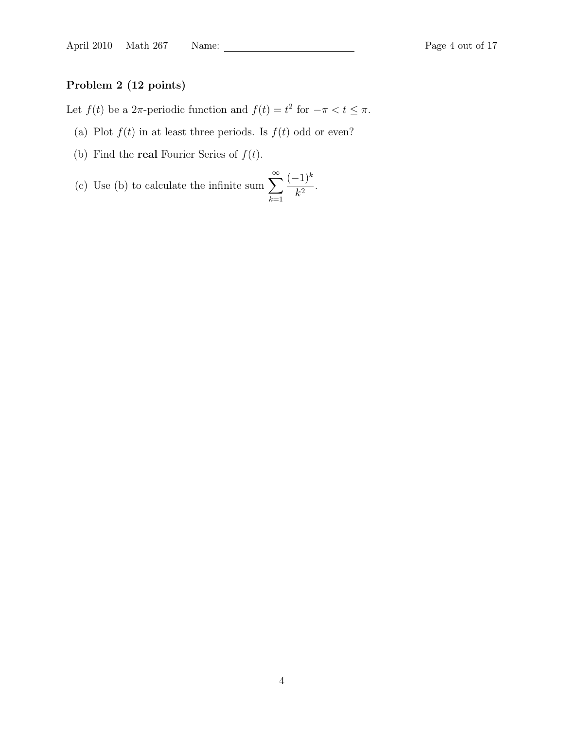### Problem 2 (12 points)

Let  $f(t)$  be a  $2\pi$ -periodic function and  $f(t) = t^2$  for  $-\pi < t \leq \pi$ .

- (a) Plot  $f(t)$  in at least three periods. Is  $f(t)$  odd or even?
- (b) Find the real Fourier Series of  $f(t)$ .

(c) Use (b) to calculate the infinite sum 
$$
\sum_{k=1}^{\infty} \frac{(-1)^k}{k^2}.
$$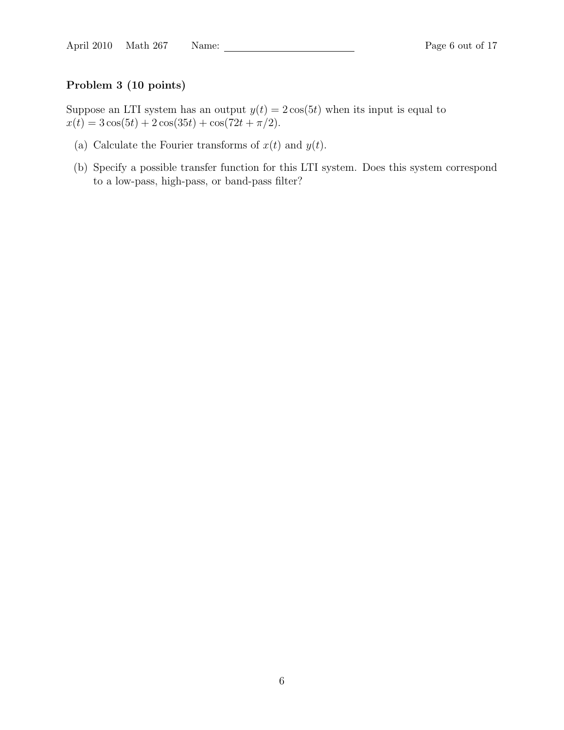#### Problem 3 (10 points)

Suppose an LTI system has an output  $y(t) = 2\cos(5t)$  when its input is equal to  $x(t) = 3\cos(5t) + 2\cos(35t) + \cos(72t + \pi/2).$ 

- (a) Calculate the Fourier transforms of  $x(t)$  and  $y(t)$ .
- (b) Specify a possible transfer function for this LTI system. Does this system correspond to a low-pass, high-pass, or band-pass filter?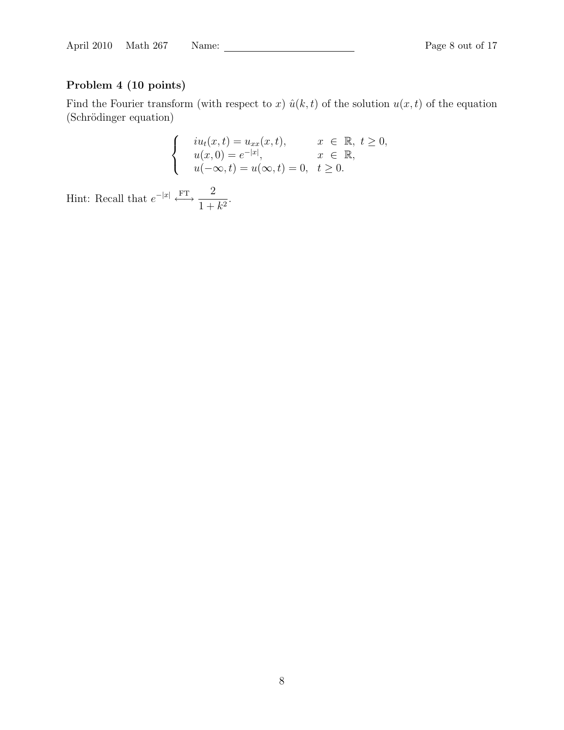## Problem 4 (10 points)

Find the Fourier transform (with respect to x)  $\hat{u}(k, t)$  of the solution  $u(x, t)$  of the equation (Schrödinger equation)

$$
\begin{cases}\n\quad i u_t(x,t) = u_{xx}(x,t), & x \in \mathbb{R}, \ t \ge 0, \\
u(x,0) = e^{-|x|}, & x \in \mathbb{R}, \\
u(-\infty, t) = u(\infty, t) = 0, \ t \ge 0.\n\end{cases}
$$

Hint: Recall that  $e^{-|x|} \stackrel{\text{FT}}{\longleftrightarrow} \frac{2}{1+|x|}$  $\frac{2}{1 + k^2}$ .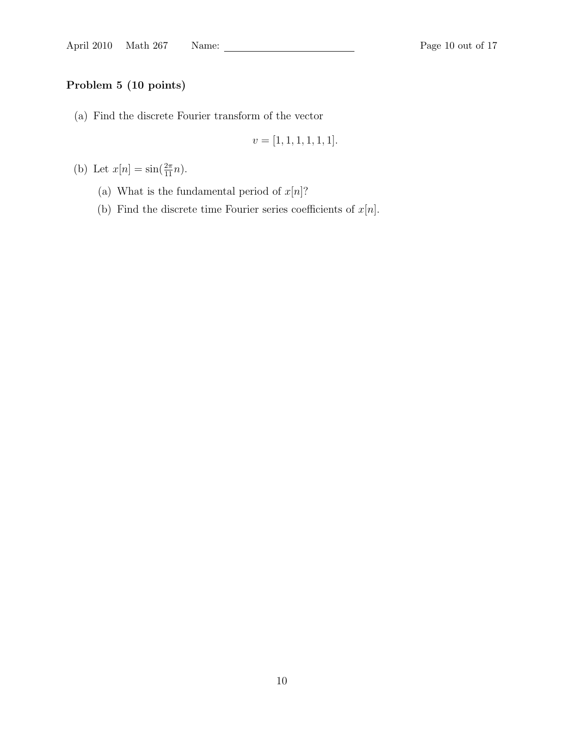## Problem 5 (10 points)

(a) Find the discrete Fourier transform of the vector

$$
v = [1, 1, 1, 1, 1, 1].
$$

(b) Let  $x[n] = \sin(\frac{2\pi}{11}n)$ .

- (a) What is the fundamental period of  $x[n]$ ?
- (b) Find the discrete time Fourier series coefficients of  $x[n]$ .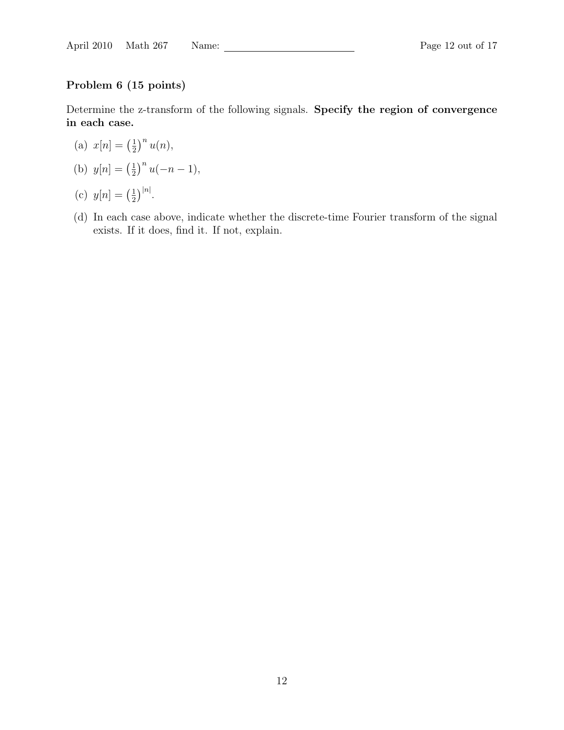#### Problem 6 (15 points)

Determine the z-transform of the following signals. Specify the region of convergence in each case.

(a) 
$$
x[n] = (\frac{1}{2})^n u(n),
$$

(b) 
$$
y[n] = \left(\frac{1}{2}\right)^n u(-n-1),
$$

- (c)  $y[n] = (\frac{1}{2})$  $\frac{1}{2}\Big)^{|n|}.$
- (d) In each case above, indicate whether the discrete-time Fourier transform of the signal exists. If it does, find it. If not, explain.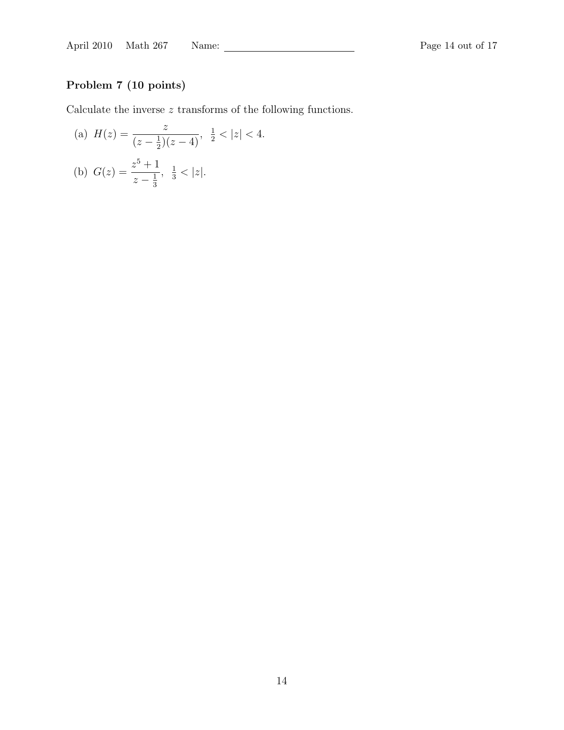# Problem 7 (10 points)

Calculate the inverse  $z$  transforms of the following functions.

(a) 
$$
H(z) = \frac{z}{(z - \frac{1}{2})(z - 4)}, \frac{1}{2} < |z| < 4.
$$
  
\n(b)  $G(z) = \frac{z^5 + 1}{z - \frac{1}{3}}, \frac{1}{3} < |z|.$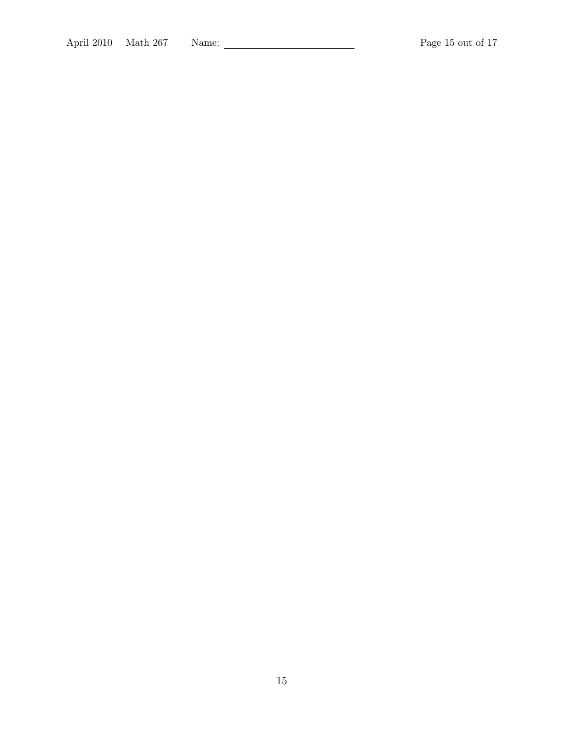April 2010 Math 267 Name: Page 15 out of 17